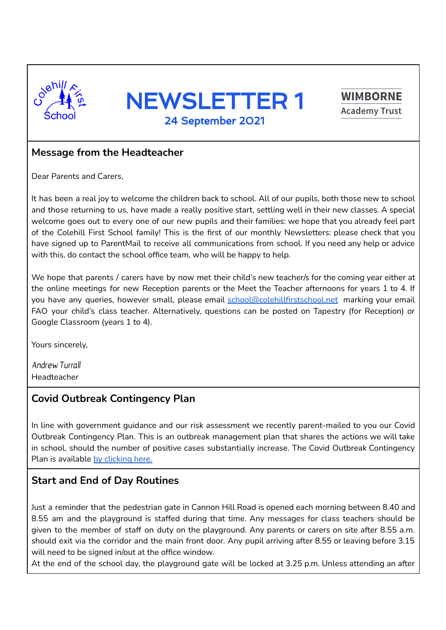





#### **Message from the Headteacher**

Dear Parents and Carers,

It has been a real joy to welcome the children back to school. All of our pupils, both those new to school and those returning to us, have made a really positive start, settling well in their new classes. A special welcome goes out to every one of our new pupils and their families: we hope that you already feel part of the Colehill First School family! This is the first of our monthly Newsletters: please check that you have signed up to ParentMail to receive all communications from school. If you need any help or advice with this, do contact the school office team, who will be happy to help.

We hope that parents / carers have by now met their child's new teacher/s for the coming year either at the online meetings for new Reception parents or the Meet the Teacher afternoons for years 1 to 4. If you have any queries, however small, please email [school@colehillfirstschool.net](mailto:school@colehillfirstschool.net) marking your email FAO your child's class teacher. Alternatively, questions can be posted on Tapestry (for Reception) or Google Classroom (years 1 to 4).

Yours sincerely,

Andrew Turrall Headteacher

## **Covid Outbreak Contingency Plan**

In line with government guidance and our risk assessment we recently parent-mailed to you our Covid Outbreak Contingency Plan. This is an outbreak management plan that shares the actions we will take in school, should the number of positive cases substantially increase. The Covid Outbreak Contingency Plan is available by [clicking](https://www.colehillfirst.dorset.sch.uk/attachments/download.asp?file=960&type=pdf) here.

## **Start and End of Day Routines**

Just a reminder that the pedestrian gate in Cannon Hill Road is opened each morning between 8.40 and 8.55 am and the playground is staffed during that time. Any messages for class teachers should be given to the member of staff on duty on the playground. Any parents or carers on site after 8.55 a.m. should exit via the corridor and the main front door. Any pupil arriving after 8.55 or leaving before 3.15 will need to be signed in/out at the office window.

At the end of the school day, the playground gate will be locked at 3.25 p.m. Unless attending an after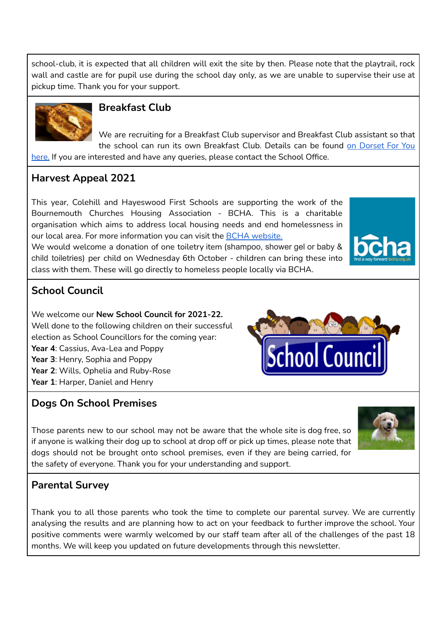school-club, it is expected that all children will exit the site by then. Please note that the playtrail, rock wall and castle are for pupil use during the school day only, as we are unable to supervise their use at pickup time. Thank you for your support.



# **Breakfast Club**

We are recruiting for a Breakfast Club supervisor and Breakfast Club assistant so that the school can run its own Breakfast Club. Details can be found on [Dorset](https://jobs.dorsetcouncil.gov.uk/SearchResults.aspx?ocg=243) For You [here.](https://jobs.dorsetcouncil.gov.uk/SearchResults.aspx?ocg=243) If you are interested and have any queries, please contact the School Office.

### **Harvest Appeal 2021**

This year, Colehill and Hayeswood First Schools are supporting the work of the Bournemouth Churches Housing Association - BCHA. This is a charitable organisation which aims to address local housing needs and end homelessness in our local area. For more information you can visit the BCHA [website.](https://www.bcha.org.uk/)

We would welcome a donation of one toiletry item (shampoo, shower gel or baby & child toiletries) per child on Wednesday 6th October - children can bring these into class with them. These will go directly to homeless people locally via BCHA.



# **School Council**

We welcome our **New School Council for 2021-22.** Well done to the following children on their successful election as School Councillors for the coming year: **Year 4**: Cassius, Ava-Lea and Poppy **Year 3**: Henry, Sophia and Poppy **Year 2**: Wills, Ophelia and Ruby-Rose **Year 1**: Harper, Daniel and Henry

### **Dogs On School Premises**

Those parents new to our school may not be aware that the whole site is dog free, so if anyone is walking their dog up to school at drop off or pick up times, please note that dogs should not be brought onto school premises, even if they are being carried, for the safety of everyone. Thank you for your understanding and support.



**School Council** 

### **Parental Survey**

Thank you to all those parents who took the time to complete our parental survey. We are currently analysing the results and are planning how to act on your feedback to further improve the school. Your positive comments were warmly welcomed by our staff team after all of the challenges of the past 18 months. We will keep you updated on future developments through this newsletter.